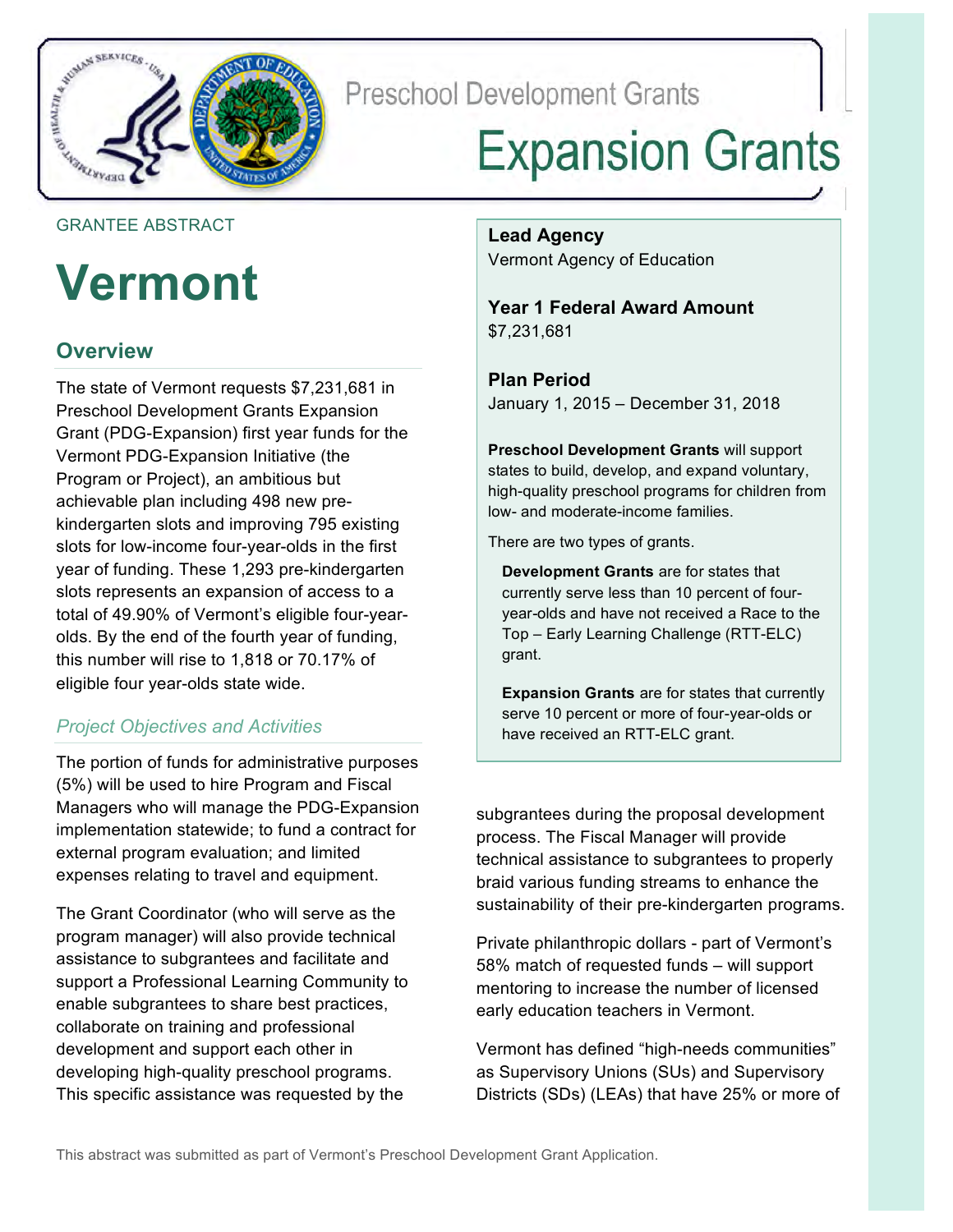

**Preschool Development Grants** 

# **Expansion Grants**

### GRANTEE ABSTRACT

## **Vermont**

## **Overview**

 The state of Vermont requests \$7,231,681 in Preschool Development Grants Expansion Grant (PDG-Expansion) first year funds for the Vermont PDG-Expansion Initiative (the Program or Project), an ambitious but slots for low-income four-year-olds in the first year of funding. These 1,293 pre-kindergarten slots represents an expansion of access to a olds. By the end of the fourth year of funding, eligible four year-olds state wide. achievable plan including 498 new prekindergarten slots and improving 795 existing total of 49.90% of Vermont's eligible four-yearthis number will rise to 1,818 or 70.17% of

## *Project Objectives and Activities*

 The portion of funds for administrative purposes (5%) will be used to hire Program and Fiscal Managers who will manage the PDG-Expansion implementation statewide; to fund a contract for external program evaluation; and limited expenses relating to travel and equipment.

 The Grant Coordinator (who will serve as the program manager) will also provide technical support a Professional Learning Community to enable subgrantees to share best practices, collaborate on training and professional development and support each other in developing high-quality preschool programs. This specific assistance was requested by the assistance to subgrantees and facilitate and

 Vermont Agency of Education **Lead Agency** 

**Year 1 Federal Award Amount**  \$7,231,681

 **Plan Period**  January 1, 2015 – December 31, 2018

 **Preschool Development Grants** will support states to build, develop, and expand voluntary, high-quality preschool programs for children from low- and moderate-income families.

There are two types of grants.

 **Development Grants** are for states that currently serve less than 10 percent of four- year-olds and have not received a Race to the Top – Early Learning Challenge (RTT-ELC) grant.

**Expansion Grants** are for states that currently serve 10 percent or more of four-year-olds or have received an RTT-ELC grant.

 process. The Fiscal Manager will provide sustainability of their pre-kindergarten programs. subgrantees during the proposal development technical assistance to subgrantees to properly braid various funding streams to enhance the

 Private philanthropic dollars - part of Vermont's 58% match of requested funds – will support mentoring to increase the number of licensed early education teachers in Vermont.

 Vermont has defined "high-needs communities" as Supervisory Unions (SUs) and Supervisory Districts (SDs) (LEAs) that have 25% or more of